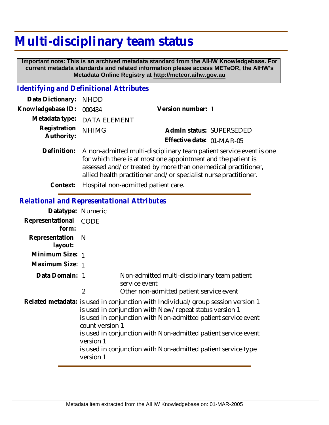# **Multi-disciplinary team status**

 **Important note: This is an archived metadata standard from the AIHW Knowledgebase. For current metadata standards and related information please access METeOR, the AIHW's Metadata Online Registry at http://meteor.aihw.gov.au**

#### *Identifying and Definitional Attributes*

| Data Dictionary: NHDD            |                                                                                 |                           |                          |
|----------------------------------|---------------------------------------------------------------------------------|---------------------------|--------------------------|
| Knowledgebase ID: 000434         |                                                                                 | Version number: 1         |                          |
|                                  | Metadata type: DATA ELEMENT                                                     |                           |                          |
| Registration NHIMG<br>Authority: |                                                                                 |                           | Admin status: SUPERSEDED |
|                                  |                                                                                 | Effective date: 01-MAR-05 |                          |
|                                  | Definition: A non-admitted multi-disciplinary team patient service event is one |                           |                          |

for which there is at most one appointment and the patient is assessed and/or treated by more than one medical practitioner, allied health practitioner and/or specialist nurse practitioner.

**Context:** Hospital non-admitted patient care.

#### *Relational and Representational Attributes*

| Datatype: Numeric           |                                                                                                                                                                                                                                                                                                                                                                                               |                                                               |
|-----------------------------|-----------------------------------------------------------------------------------------------------------------------------------------------------------------------------------------------------------------------------------------------------------------------------------------------------------------------------------------------------------------------------------------------|---------------------------------------------------------------|
| Representational<br>form:   | CODE                                                                                                                                                                                                                                                                                                                                                                                          |                                                               |
| Representation N<br>layout: |                                                                                                                                                                                                                                                                                                                                                                                               |                                                               |
| Minimum Size: 1             |                                                                                                                                                                                                                                                                                                                                                                                               |                                                               |
| Maximum Size: 1             |                                                                                                                                                                                                                                                                                                                                                                                               |                                                               |
| Data Domain: 1              |                                                                                                                                                                                                                                                                                                                                                                                               | Non-admitted multi-disciplinary team patient<br>service event |
|                             | $\overline{2}$                                                                                                                                                                                                                                                                                                                                                                                | Other non-admitted patient service event                      |
|                             | Related metadata: is used in conjunction with Individual/group session version 1<br>is used in conjunction with New/repeat status version 1<br>is used in conjunction with Non-admitted patient service event<br>count version 1<br>is used in conjunction with Non-admitted patient service event<br>version 1<br>is used in conjunction with Non-admitted patient service type<br>version 1 |                                                               |